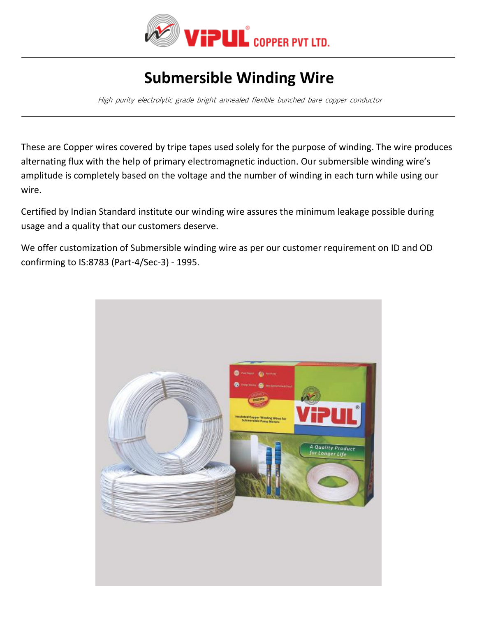

## **Submersible Winding Wire**

High purity electrolytic grade bright annealed flexible bunched bare copper conductor

These are Copper wires covered by tripe tapes used solely for the purpose of winding. The wire produces alternating flux with the help of primary electromagnetic induction. Our submersible winding wire's amplitude is completely based on the voltage and the number of winding in each turn while using our wire.

Certified by Indian Standard institute our winding wire assures the minimum leakage possible during usage and a quality that our customers deserve.

We offer customization of Submersible winding wire as per our customer requirement on ID and OD confirming to IS:8783 (Part-4/Sec-3) - 1995.

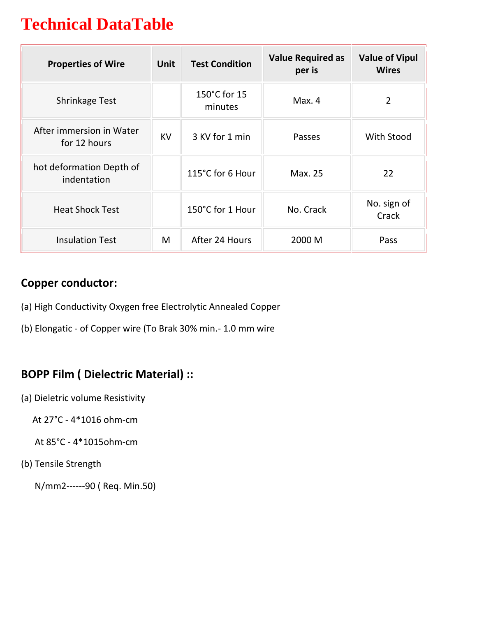# **Technical DataTable**

| <b>Properties of Wire</b>                | <b>Unit</b> | <b>Test Condition</b>   | <b>Value Required as</b><br>per is | <b>Value of Vipul</b><br><b>Wires</b> |
|------------------------------------------|-------------|-------------------------|------------------------------------|---------------------------------------|
| <b>Shrinkage Test</b>                    |             | 150°C for 15<br>minutes | Max. 4                             | 2                                     |
| After immersion in Water<br>for 12 hours | <b>KV</b>   | 3 KV for 1 min          | Passes                             | With Stood                            |
| hot deformation Depth of<br>indentation  |             | 115°C for 6 Hour        | Max. 25                            | 22                                    |
| <b>Heat Shock Test</b>                   |             | 150°C for 1 Hour        | No. Crack                          | No. sign of<br>Crack                  |
| <b>Insulation Test</b>                   | M           | After 24 Hours          | 2000 M                             | Pass                                  |

#### **Copper conductor:**

- (a) High Conductivity Oxygen free Electrolytic Annealed Copper
- (b) Elongatic of Copper wire (To Brak 30% min.- 1.0 mm wire

### **BOPP Film ( Dielectric Material) ::**

(a) Dieletric volume Resistivity

At 27°C - 4\*1016 ohm-cm

At 85°C - 4\*1015ohm-cm

(b) Tensile Strength

N/mm2------90 ( Req. Min.50)